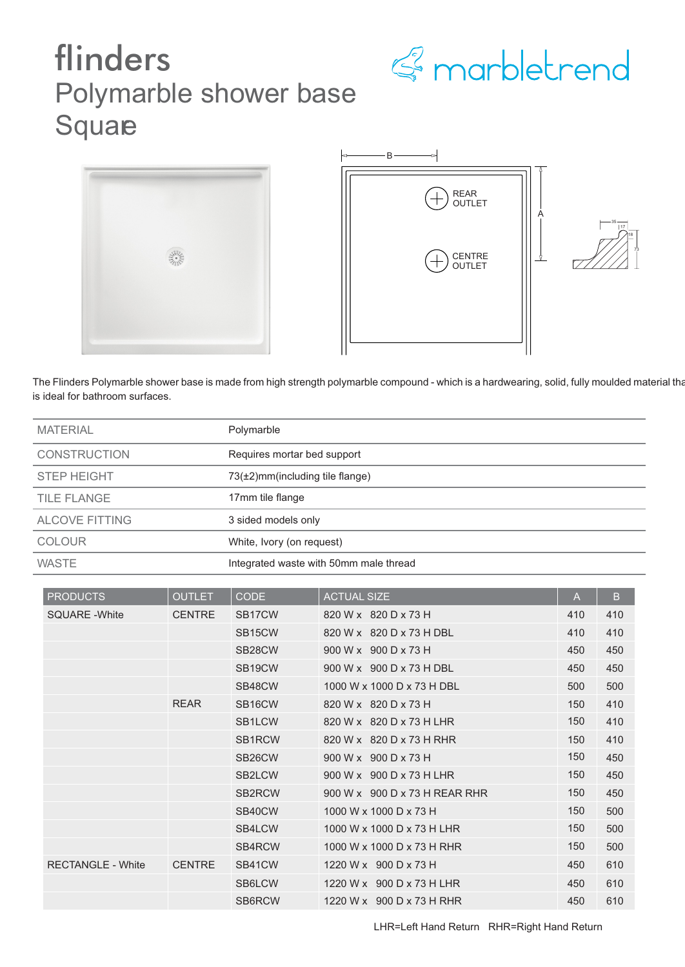

## flinders Polymarble shower base Square





73

The Flinders Polymarble shower base is made from high strength polymarble compound - which is a hardwearing, solid, fully moulded material that is ideal for bathroom surfaces.

| <b>MATERIAL</b>       | Polymarble                             |
|-----------------------|----------------------------------------|
| <b>CONSTRUCTION</b>   | Requires mortar bed support            |
| <b>STEP HEIGHT</b>    | $73(\pm 2)$ mm(including tile flange)  |
| TILE FLANGE           | 17mm tile flange                       |
| <b>ALCOVE FITTING</b> | 3 sided models only                    |
| <b>COLOUR</b>         | White, Ivory (on request)              |
| <b>WASTE</b>          | Integrated waste with 50mm male thread |

| <b>PRODUCTS</b>          | <b>OUTLET</b> | <b>CODE</b>         | <b>ACTUAL SIZE</b>            | A   | B.  |
|--------------------------|---------------|---------------------|-------------------------------|-----|-----|
| <b>SQUARE - White</b>    | <b>CENTRE</b> | SB <sub>17</sub> CW | 820 W x 820 D x 73 H          | 410 | 410 |
|                          |               | SB <sub>15</sub> CW | 820 W x 820 D x 73 H DBL      | 410 | 410 |
|                          |               | SB <sub>28</sub> CW | 900 W x 900 D x 73 H          | 450 | 450 |
|                          |               | SB <sub>19</sub> CW | 900 W x 900 D x 73 H DBL      | 450 | 450 |
|                          |               | SB48CW              | 1000 W x 1000 D x 73 H DBL    | 500 | 500 |
|                          | <b>REAR</b>   | SB <sub>16</sub> CW | 820 W x 820 D x 73 H          | 150 | 410 |
|                          |               | SB <sub>1</sub> LCW | 820 W x 820 D x 73 H LHR      | 150 | 410 |
|                          |               | SB <sub>1</sub> RCW | 820 W x 820 D x 73 H RHR      | 150 | 410 |
|                          |               | SB <sub>26</sub> CW | 900 W x 900 D x 73 H          | 150 | 450 |
|                          |               | SB <sub>2</sub> LCW | 900 W x 900 D x 73 H LHR      | 150 | 450 |
|                          |               | SB2RCW              | 900 W x 900 D x 73 H REAR RHR | 150 | 450 |
|                          |               | SB40CW              | 1000 W x 1000 D x 73 H        | 150 | 500 |
|                          |               | SB4LCW              | 1000 W x 1000 D x 73 H LHR    | 150 | 500 |
|                          |               | SB4RCW              | 1000 W x 1000 D x 73 H RHR    | 150 | 500 |
| <b>RECTANGLE - White</b> | <b>CENTRE</b> | SB41CW              | 1220 W x 900 D x 73 H         | 450 | 610 |
|                          |               | SB6LCW              | 1220 W x 900 D x 73 H LHR     | 450 | 610 |
|                          |               | SB6RCW              | 1220 W x 900 D x 73 H RHR     | 450 | 610 |